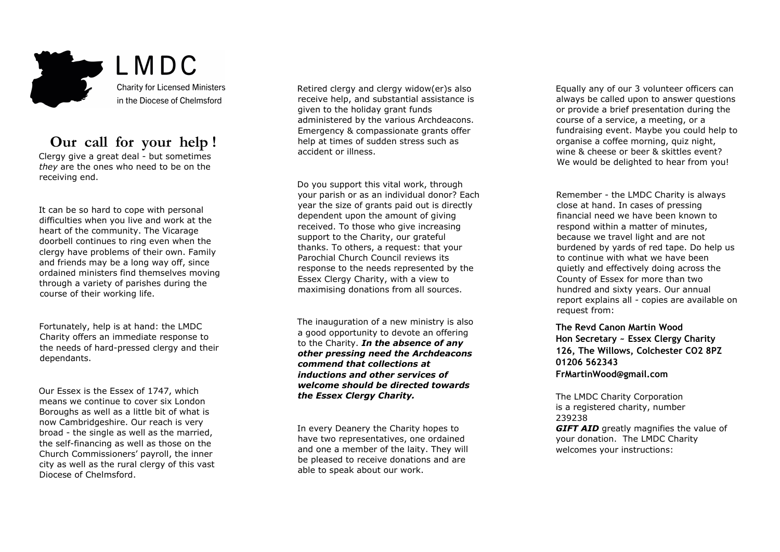

## **Our call for your help !**

Clergy give a great deal - but sometimes *they* are the ones who need to be on the receiving end.

It can be so hard to cope with personal difficulties when you live and work at the heart of the community. The Vicarage doorbell continues to ring even when the clergy have problems of their own. Family and friends may be a long way off, since ordained ministers find themselves moving through a variety of parishes during the course of their working life.

Fortunately, help is at hand: the LMDC Charity offers an immediate response to the needs of hard-pressed clergy and their dependants.

Our Essex is the Essex of 1747, which means we continue to cover six London Boroughs as well as a little bit of what is now Cambridgeshire. Our reach is very broad - the single as well as the married, the self-financing as well as those on the Church Commissioners' payroll, the inner city as well as the rural clergy of this vast Diocese of Chelmsford.

Retired clergy and clergy widow(er)s also receive help, and substantial assistance is given to the holiday grant funds administered by the various Archdeacons. Emergency & compassionate grants offer help at times of sudden stress such as accident or illness.

Do you support this vital work, through your parish or as an individual donor? Each year the size of grants paid out is directly dependent upon the amount of giving received. To those who give increasing support to the Charity, our grateful thanks. To others, a request: that your Parochial Church Council reviews its response to the needs represented by the Essex Clergy Charity, with a view to maximising donations from all sources.

The inauguration of a new ministry is also a good opportunity to devote an offering to the Charity. *In the absence of any other pressing need the Archdeacons commend that collections at inductions and other services of welcome should be directed towards the Essex Clergy Charity.* 

In every Deanery the Charity hopes to have two representatives, one ordained and one a member of the laity. They will be pleased to receive donations and are able to speak about our work.

Equally any of our 3 volunteer officers can always be called upon to answer questions or provide a brief presentation during the course of a service, a meeting, or a fundraising event. Maybe you could help to organise a coffee morning, quiz night, wine & cheese or beer & skittles event? We would be delighted to hear from you!

Remember - the LMDC Charity is always close at hand. In cases of pressing financial need we have been known to respond within a matter of minutes, because we travel light and are not burdened by yards of red tape. Do help us to continue with what we have been quietly and effectively doing across the County of Essex for more than two hundred and sixty years. Our annual report explains all - copies are available on request from:

**The Revd Canon Martin Wood Hon Secretary ~ Essex Clergy Charity 126, The Willows, Colchester CO2 8PZ 01206 562343 FrMartinWood@gmail.com**

The LMDC Charity Corporation is a registered charity, number 239238 **GIFT AID** greatly magnifies the value of your donation. The LMDC Charity welcomes your instructions: